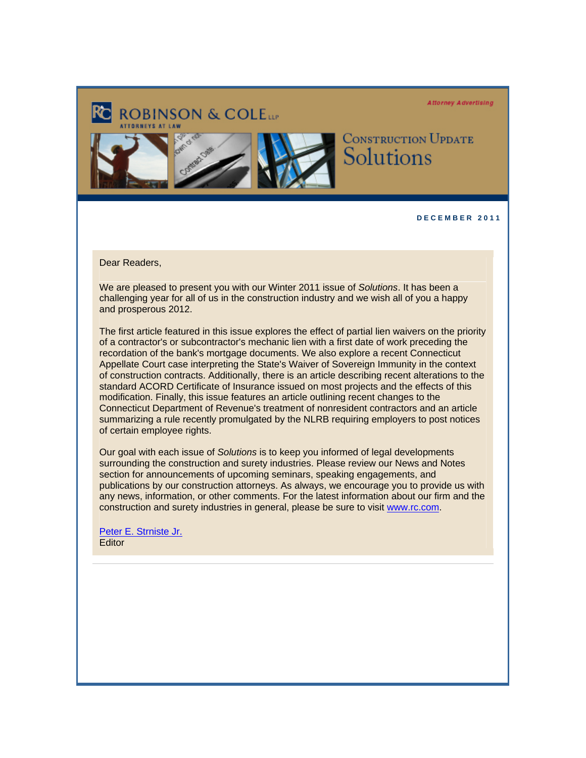**Attorney Advertising** 



**CONSTRUCTION UPDATE** Solutions

**D E C E M B E R 2 0 1 1** 

Dear Readers,

We are pleased to present you with our Winter 2011 issue of *Solutions*. It has been a challenging year for all of us in the construction industry and we wish all of you a happy and prosperous 2012.

The first article featured in this issue explores the effect of partial lien waivers on the priority of a contractor's or subcontractor's mechanic lien with a first date of work preceding the recordation of the bank's mortgage documents. We also explore a recent Connecticut Appellate Court case interpreting the State's Waiver of Sovereign Immunity in the context of construction contracts. Additionally, there is an article describing recent alterations to the standard ACORD Certificate of Insurance issued on most projects and the effects of this modification. Finally, this issue features an article outlining recent changes to the Connecticut Department of Revenue's treatment of nonresident contractors and an article summarizing a rule recently promulgated by the NLRB requiring employers to post notices of certain employee rights.

Our goal with each issue of *Solutions* is to keep you informed of legal developments surrounding the construction and surety industries. Please review our News and Notes section for announcements of upcoming seminars, speaking engagements, and publications by our construction attorneys. As always, we encourage you to provide us with any news, information, or other comments. For the latest information about our firm and the construction and surety industries in general, please be sure to visit www.rc.com.

[Peter E. Strniste Jr.](http://www.rc.com/Bio.cfm?eID=1428)  **Editor**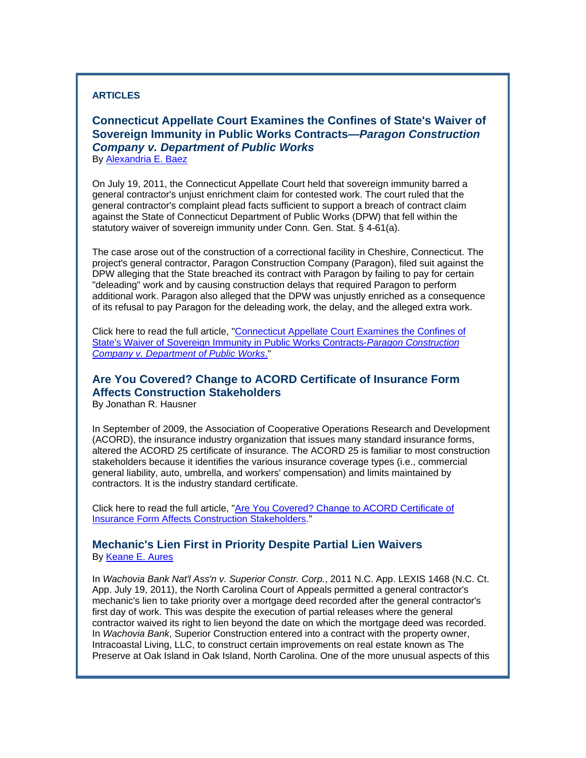#### **ARTICLES**

## **Connecticut Appellate Court Examines the Confines of State's Waiver of Sovereign Immunity in Public Works Contracts—***Paragon Construction Company v. Department of Public Works*  By [Alexandria E. Baez](http://www.rc.com/Bio.cfm?eID=1286)

On July 19, 2011, the Connecticut Appellate Court held that sovereign immunity barred a general contractor's unjust enrichment claim for contested work. The court ruled that the general contractor's complaint plead facts sufficient to support a breach of contract claim against the State of Connecticut Department of Public Works (DPW) that fell within the statutory waiver of sovereign immunity under Conn. Gen. Stat. § 4-61(a).

The case arose out of the construction of a correctional facility in Cheshire, Connecticut. The project's general contractor, Paragon Construction Company (Paragon), filed suit against the DPW alleging that the State breached its contract with Paragon by failing to pay for certain "deleading" work and by causing construction delays that required Paragon to perform additional work. Paragon also alleged that the DPW was unjustly enriched as a consequence of its refusal to pay Paragon for the deleading work, the delay, and the alleged extra work.

Click here to read the full article, "[Connecticut Appellate Court Examines the Confines of](http://www.rc.com/documents/Sovereign_Immunity_Public_Works.pdf)  [State's Waiver of Sovereign Immunity in Public Works Contracts-](http://www.rc.com/documents/Sovereign_Immunity_Public_Works.pdf)*Paragon Construction [Company v. Department of Public Works](http://www.rc.com/documents/Sovereign_Immunity_Public_Works.pdf)*."

# **Are You Covered? Change to ACORD Certificate of Insurance Form Affects Construction Stakeholders**

By Jonathan R. Hausner

In September of 2009, the Association of Cooperative Operations Research and Development (ACORD), the insurance industry organization that issues many standard insurance forms, altered the ACORD 25 certificate of insurance. The ACORD 25 is familiar to most construction stakeholders because it identifies the various insurance coverage types (i.e., commercial general liability, auto, umbrella, and workers' compensation) and limits maintained by contractors. It is the industry standard certificate.

Click here to read the full article, "[Are You Covered? Change to ACORD Certificate of](http://www.rc.com/documents/ACORD_Certificate_Insurance.pdf)  [Insurance Form Affects Construction Stakeholders.](http://www.rc.com/documents/ACORD_Certificate_Insurance.pdf)"

## **Mechanic's Lien First in Priority Despite Partial Lien Waivers**  By [Keane E. Aures](http://www.rc.com/Bio.cfm?eID=1427)

In *Wachovia Bank Nat'l Ass'n v. Superior Constr. Corp.*, 2011 N.C. App. LEXIS 1468 (N.C. Ct. App. July 19, 2011), the North Carolina Court of Appeals permitted a general contractor's mechanic's lien to take priority over a mortgage deed recorded after the general contractor's first day of work. This was despite the execution of partial releases where the general contractor waived its right to lien beyond the date on which the mortgage deed was recorded. In *Wachovia Bank*, Superior Construction entered into a contract with the property owner, Intracoastal Living, LLC, to construct certain improvements on real estate known as The Preserve at Oak Island in Oak Island, North Carolina. One of the more unusual aspects of this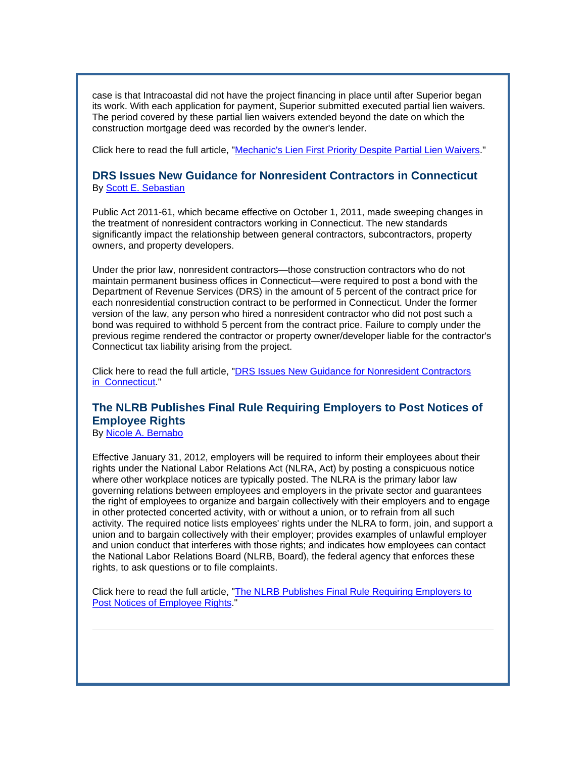case is that Intracoastal did not have the project financing in place until after Superior began its work. With each application for payment, Superior submitted executed partial lien waivers. The period covered by these partial lien waivers extended beyond the date on which the construction mortgage deed was recorded by the owner's lender.

Click here to read the full article, "[Mechanic's Lien First Priority Despite Partial Lien Waivers](http://www.rc.com/documents/Mechanics_Lien_First_Priority.pdf)."

## **DRS Issues New Guidance for Nonresident Contractors in Connecticut** By [Scott E. Sebastian](http://www.rc.com/Bio.cfm?eID=1331)

Public Act 2011-61, which became effective on October 1, 2011, made sweeping changes in the treatment of nonresident contractors working in Connecticut. The new standards significantly impact the relationship between general contractors, subcontractors, property owners, and property developers.

Under the prior law, nonresident contractors—those construction contractors who do not maintain permanent business offices in Connecticut—were required to post a bond with the Department of Revenue Services (DRS) in the amount of 5 percent of the contract price for each nonresidential construction contract to be performed in Connecticut. Under the former version of the law, any person who hired a nonresident contractor who did not post such a bond was required to withhold 5 percent from the contract price. Failure to comply under the previous regime rendered the contractor or property owner/developer liable for the contractor's Connecticut tax liability arising from the project.

Click here to read the full article, "[DRS Issues New Guidance for Nonresident Contractors](http://www.rc.com/documents/DRS_Issues_CT_Nonresident_Guidance.pdf) [in Connecticut](http://www.rc.com/documents/DRS_Issues_CT_Nonresident_Guidance.pdf)."

## **The NLRB Publishes Final Rule Requiring Employers to Post Notices of Employee Rights**

By [Nicole A. Bernabo](http://www.rc.com/Bio.cfm?eID=1347)

Effective January 31, 2012, employers will be required to inform their employees about their rights under the National Labor Relations Act (NLRA, Act) by posting a conspicuous notice where other workplace notices are typically posted. The NLRA is the primary labor law governing relations between employees and employers in the private sector and guarantees the right of employees to organize and bargain collectively with their employers and to engage in other protected concerted activity, with or without a union, or to refrain from all such activity. The required notice lists employees' rights under the NLRA to form, join, and support a union and to bargain collectively with their employer; provides examples of unlawful employer and union conduct that interferes with those rights; and indicates how employees can contact the National Labor Relations Board (NLRB, Board), the federal agency that enforces these rights, to ask questions or to file complaints.

Click here to read the full article, "The NLRB Publishes Final Rule Requiring Employers to [Post Notices of Employee Rights](http://www.rc.com/documents/NLRB_Notices_Employee_Rights.pdf)."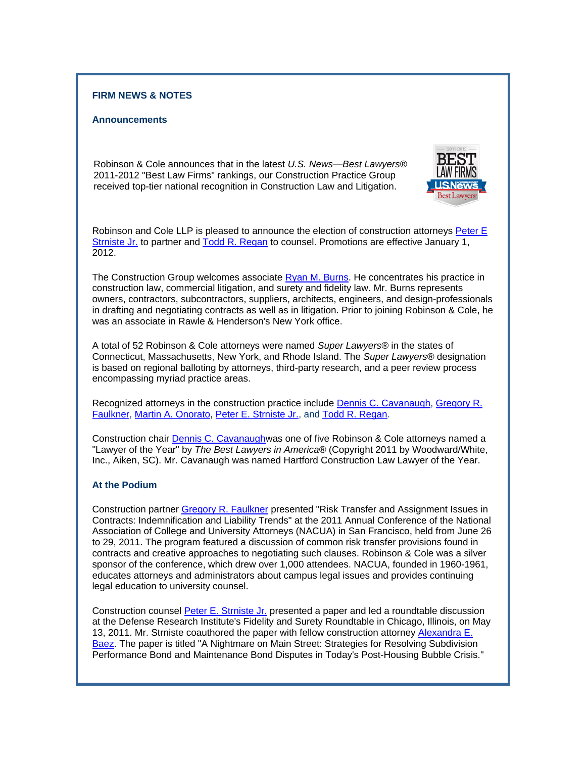#### **FIRM NEWS & NOTES**

#### **Announcements**

Robinson & Cole announces that in the latest *U.S. News—Best Lawyers®* 2011-2012 "Best Law Firms" rankings, our Construction Practice Group received top-tier national recognition in Construction Law and Litigation.



Robinson and Cole LLP is pleased to announce the election of construction attorneys [Peter E](http://www.rc.com/Bio.cfm?eID=1428) [Strniste Jr.](http://www.rc.com/Bio.cfm?eID=1428) to partner and [Todd R. Regan](http://www.rc.com/Bio.cfm?eID=1457) to counsel. Promotions are effective January 1, 2012.

The Construction Group welcomes associate [Ryan M. Burns](http://www.rc.com/Bio.cfm?eID=1704). He concentrates his practice in construction law, commercial litigation, and surety and fidelity law. Mr. Burns represents owners, contractors, subcontractors, suppliers, architects, engineers, and design-professionals in drafting and negotiating contracts as well as in litigation. Prior to joining Robinson & Cole, he was an associate in Rawle & Henderson's New York office.

A total of 52 Robinson & Cole attorneys were named *Super Lawyers®* in the states of Connecticut, Massachusetts, New York, and Rhode Island. The *Super Lawyers®* designation is based on regional balloting by attorneys, third-party research, and a peer review process encompassing myriad practice areas.

Recognized attorneys in the construction practice include [Dennis C. Cavanaugh,](http://www.rc.com/Bio.cfm?eID=1431) [Gregory R.](http://www.rc.com/Bio.cfm?eID=1432) [Faulkner](http://www.rc.com/Bio.cfm?eID=1432), [Martin A. Onorato,](http://www.rc.com/Bio.cfm?eID=1435) [Peter E. Strniste Jr.](http://www.rc.com/Bio.cfm?eID=1428), and [Todd R. Regan.](http://www.rc.com/Bio.cfm?eID=1457)

Construction chair Dennis C. Cavanaughwas one of five Robinson & Cole attorneys named a "Lawyer of the Year" by *The Best Lawyers in America®* (Copyright 2011 by Woodward/White, Inc., Aiken, SC). Mr. Cavanaugh was named Hartford Construction Law Lawyer of the Year.

#### **At the Podium**

Construction partner [Gregory R. Faulkner](http://www.rc.com/Bio.cfm?eID=1432) presented "Risk Transfer and Assignment Issues in Contracts: Indemnification and Liability Trends" at the 2011 Annual Conference of the National Association of College and University Attorneys (NACUA) in San Francisco, held from June 26 to 29, 2011. The program featured a discussion of common risk transfer provisions found in contracts and creative approaches to negotiating such clauses. Robinson & Cole was a silver sponsor of the conference, which drew over 1,000 attendees. NACUA, founded in 1960-1961, educates attorneys and administrators about campus legal issues and provides continuing legal education to university counsel.

Construction counsel [Peter E. Strniste Jr.](http://www.rc.com/Bio.cfm?eID=1428) presented a paper and led a roundtable discussion at the Defense Research Institute's Fidelity and Surety Roundtable in Chicago, Illinois, on May 13, 2011. Mr. Strniste coauthored the paper with fellow construction attorney [Alexandra E.](http://www.rc.com/Bio.cfm?eID=1286) [Baez](http://www.rc.com/Bio.cfm?eID=1286). The paper is titled "A Nightmare on Main Street: Strategies for Resolving Subdivision Performance Bond and Maintenance Bond Disputes in Today's Post-Housing Bubble Crisis."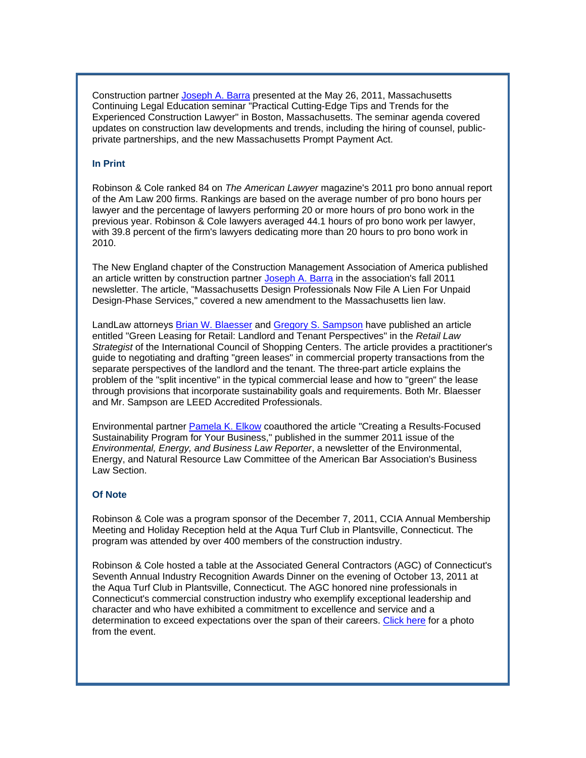Construction partner [Joseph A. Barra](http://www.rc.com/Bio.cfm?eID=1584) presented at the May 26, 2011, Massachusetts Continuing Legal Education seminar "Practical Cutting-Edge Tips and Trends for the Experienced Construction Lawyer" in Boston, Massachusetts. The seminar agenda covered updates on construction law developments and trends, including the hiring of counsel, publicprivate partnerships, and the new Massachusetts Prompt Payment Act.

#### **In Print**

Robinson & Cole ranked 84 on *The American Lawyer* magazine's 2011 pro bono annual report of the Am Law 200 firms. Rankings are based on the average number of pro bono hours per lawyer and the percentage of lawyers performing 20 or more hours of pro bono work in the previous year. Robinson & Cole lawyers averaged 44.1 hours of pro bono work per lawyer, with 39.8 percent of the firm's lawyers dedicating more than 20 hours to pro bono work in 2010.

The New England chapter of the Construction Management Association of America published an article written by construction partner [Joseph A. Barra](http://www.rc.com/Bio.cfm?eID=1584) in the association's fall 2011 newsletter. The article, "Massachusetts Design Professionals Now File A Lien For Unpaid Design-Phase Services," covered a new amendment to the Massachusetts lien law.

LandLaw attorneys [Brian W. Blaesser](http://www.rc.com/Bio.cfm?eID=710) and [Gregory S. Sampson](http://www.rc.com/Bio.cfm?eID=1404) have published an article entitled "Green Leasing for Retail: Landlord and Tenant Perspectives" in the *Retail Law Strategist* of the International Council of Shopping Centers. The article provides a practitioner's guide to negotiating and drafting "green leases" in commercial property transactions from the separate perspectives of the landlord and the tenant. The three-part article explains the problem of the "split incentive" in the typical commercial lease and how to "green" the lease through provisions that incorporate sustainability goals and requirements. Both Mr. Blaesser and Mr. Sampson are LEED Accredited Professionals.

Environmental partner [Pamela K. Elkow](http://www.rc.com/Bio.cfm?eID=906) coauthored the article "Creating a Results-Focused Sustainability Program for Your Business," published in the summer 2011 issue of the *Environmental, Energy, and Business Law Reporter*, a newsletter of the Environmental, Energy, and Natural Resource Law Committee of the American Bar Association's Business Law Section.

#### **Of Note**

Robinson & Cole was a program sponsor of the December 7, 2011, CCIA Annual Membership Meeting and Holiday Reception held at the Aqua Turf Club in Plantsville, Connecticut. The program was attended by over 400 members of the construction industry.

Robinson & Cole hosted a table at the Associated General Contractors (AGC) of Connecticut's Seventh Annual Industry Recognition Awards Dinner on the evening of October 13, 2011 at the Aqua Turf Club in Plantsville, Connecticut. The AGC honored nine professionals in Connecticut's commercial construction industry who exemplify exceptional leadership and character and who have exhibited a commitment to excellence and service and a determination to exceed expectations over the span of their careers. [Click here](http://www.rc.com/documents/AGC_Dinner_10.13.11.pdf) for a photo from the event.